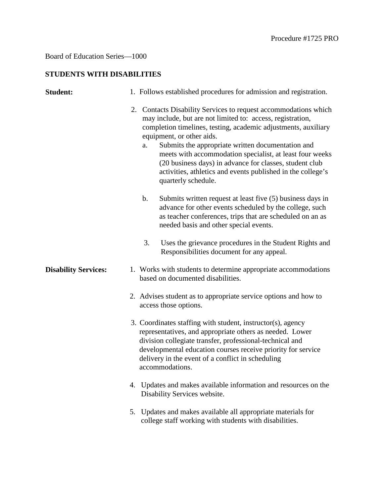## Board of Education Series—1000

## **STUDENTS WITH DISABILITIES**

| <b>Student:</b>             |    | 1. Follows established procedures for admission and registration.                                                                                                                                                                                                                                                                                                                                                                                                                                    |
|-----------------------------|----|------------------------------------------------------------------------------------------------------------------------------------------------------------------------------------------------------------------------------------------------------------------------------------------------------------------------------------------------------------------------------------------------------------------------------------------------------------------------------------------------------|
|                             |    | 2. Contacts Disability Services to request accommodations which<br>may include, but are not limited to: access, registration,<br>completion timelines, testing, academic adjustments, auxiliary<br>equipment, or other aids.<br>Submits the appropriate written documentation and<br>a.<br>meets with accommodation specialist, at least four weeks<br>(20 business days) in advance for classes, student club<br>activities, athletics and events published in the college's<br>quarterly schedule. |
|                             |    | Submits written request at least five (5) business days in<br>b.<br>advance for other events scheduled by the college, such<br>as teacher conferences, trips that are scheduled on an as<br>needed basis and other special events.                                                                                                                                                                                                                                                                   |
|                             |    | 3.<br>Uses the grievance procedures in the Student Rights and<br>Responsibilities document for any appeal.                                                                                                                                                                                                                                                                                                                                                                                           |
| <b>Disability Services:</b> |    | 1. Works with students to determine appropriate accommodations<br>based on documented disabilities.                                                                                                                                                                                                                                                                                                                                                                                                  |
|                             |    | 2. Advises student as to appropriate service options and how to<br>access those options.                                                                                                                                                                                                                                                                                                                                                                                                             |
|                             |    | 3. Coordinates staffing with student, instructor(s), agency<br>representatives, and appropriate others as needed. Lower<br>division collegiate transfer, professional-technical and<br>developmental education courses receive priority for service<br>delivery in the event of a conflict in scheduling<br>accommodations.                                                                                                                                                                          |
|                             |    | 4. Updates and makes available information and resources on the<br>Disability Services website.                                                                                                                                                                                                                                                                                                                                                                                                      |
|                             | 5. | Updates and makes available all appropriate materials for<br>college staff working with students with disabilities.                                                                                                                                                                                                                                                                                                                                                                                  |